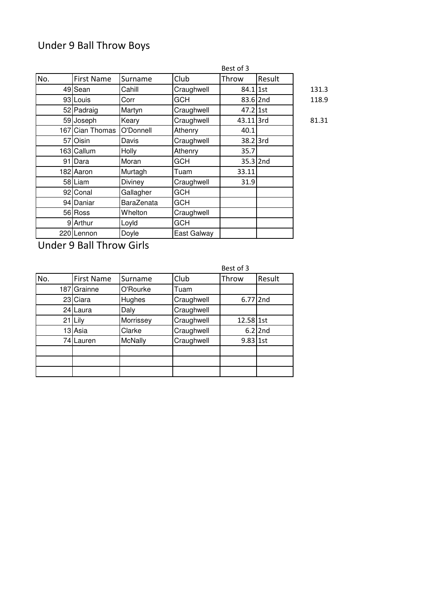# Under 9 Ball Throw Boys

|      |                   | Best of 3         |             |            |            |       |  |
|------|-------------------|-------------------|-------------|------------|------------|-------|--|
| No.  | <b>First Name</b> | Surname           | Club        | Throw      | Result     |       |  |
|      | 49 Sean           | Cahill            | Craughwell  | $84.1$ 1st |            | 131.3 |  |
|      | 93 Louis          | Corr              | <b>GCH</b>  |            | 83.6 2nd   | 118.9 |  |
|      | 52 Padraig        | Martyn            | Craughwell  | $47.2$ 1st |            |       |  |
|      | 59 Joseph         | Keary             | Craughwell  | 43.11 3rd  |            | 81.31 |  |
|      | 167 Cian Thomas   | O'Donnell         | Athenry     | 40.1       |            |       |  |
| 57 I | Oisin             | Davis             | Craughwell  | 38.2 3rd   |            |       |  |
|      | 163 Callum        | <b>Holly</b>      | Athenry     | 35.7       |            |       |  |
|      | 91 Dara           | Moran             | <b>GCH</b>  |            | $35.3$ 2nd |       |  |
|      | 182 Aaron         | Murtagh           | Tuam        | 33.11      |            |       |  |
|      | 58 Liam           | Diviney           | Craughwell  | 31.9       |            |       |  |
|      | 92 Conal          | Gallagher         | <b>GCH</b>  |            |            |       |  |
|      | 94 Daniar         | <b>BaraZenata</b> | <b>GCH</b>  |            |            |       |  |
|      | 56 Ross           | Whelton           | Craughwell  |            |            |       |  |
|      | 9 Arthur          | Loyld             | <b>GCH</b>  |            |            |       |  |
|      | 220 Lennon        | Doyle             | East Galway |            |            |       |  |

Under 9 Ball Throw Girls

|     |                   |                | Best of 3  |            |           |  |
|-----|-------------------|----------------|------------|------------|-----------|--|
| No. | <b>First Name</b> | Surname        | Club       | Throw      | Result    |  |
| 187 | Grainne           | O'Rourke       | Tuam       |            |           |  |
| 23  | Ciara             | Hughes         | Craughwell | 6.77 2nd   |           |  |
| 24  | lLaura            | Daly           | Craughwell |            |           |  |
| 21  | Lily              | Morrissey      | Craughwell | 12.58 1st  |           |  |
| 13  | Asia              | Clarke         | Craughwell |            | $6.2$ 2nd |  |
| 74  | Lauren            | <b>McNally</b> | Craughwell | $9.83$ 1st |           |  |
|     |                   |                |            |            |           |  |
|     |                   |                |            |            |           |  |
|     |                   |                |            |            |           |  |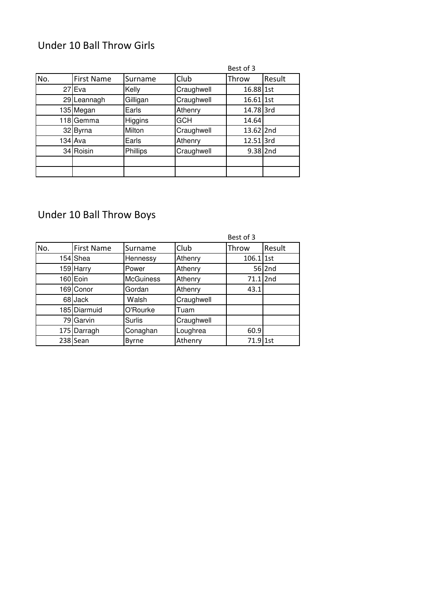### Under 10 Ball Throw Girls

|     |             |          |            | Best of 3   |        |
|-----|-------------|----------|------------|-------------|--------|
| No. | First Name  | Surname  | Club       | Throw       | Result |
|     | 27 Eva      | Kelly    | Craughwell | 16.88 1st   |        |
|     | 29 Leannagh | Gilligan | Craughwell | $16.61$ 1st |        |
|     | 135 Megan   | Earls    | Athenry    | 14.78 3rd   |        |
|     | 118 Gemma   | Higgins  | <b>GCH</b> | 14.64       |        |
|     | 32 Byrna    | Milton   | Craughwell | 13.62 2nd   |        |
|     | 134 Ava     | Earls    | Athenry    | 12.51 3rd   |        |
|     | 34 Roisin   | Phillips | Craughwell | $9.38$ 2nd  |        |
|     |             |          |            |             |        |
|     |             |          |            |             |        |

# Under 10 Ball Throw Boys

|     |                   |                  |            | Best of 3   |        |
|-----|-------------------|------------------|------------|-------------|--------|
| No. | <b>First Name</b> | Surname          | Club       | Throw       | Result |
|     | 154 Shea          | Hennessy         | Athenry    | $106.1$ 1st |        |
|     | 159 Harry         | Power            | Athenry    |             | 56 2nd |
|     | 160 Eoin          | <b>McGuiness</b> | Athenry    | $71.1$  2nd |        |
|     | 169 Conor         | Gordan           | Athenry    | 43.1        |        |
|     | 68 Jack           | Walsh            | Craughwell |             |        |
|     | 185 Diarmuid      | O'Rourke         | Tuam       |             |        |
|     | 79 Garvin         | Surlis           | Craughwell |             |        |
|     | 175 Darragh       | Conaghan         | Loughrea   | 60.9        |        |
|     | 238 Sean          | <b>Byrne</b>     | Athenry    | $71.9$ 1st  |        |